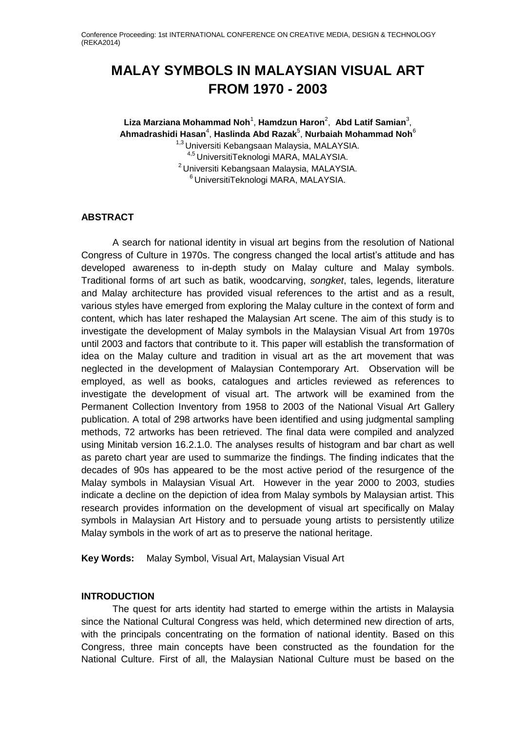# **MALAY SYMBOLS IN MALAYSIAN VISUAL ART FROM 1970 - 2003**

**Liza Marziana Mohammad Noh**<sup>1</sup> , **Hamdzun Haron**<sup>2</sup> , **Abd Latif Samian**<sup>3</sup> , **Ahmadrashidi Hasan**<sup>4</sup> , **Haslinda Abd Razak**<sup>5</sup> , **Nurbaiah Mohammad Noh**<sup>6</sup> <sup>1,3</sup> Universiti Kebangsaan Malaysia, MALAYSIA. 4,5 UniversitiTeknologi MARA, MALAYSIA. <sup>2</sup> Universiti Kebangsaan Malaysia, MALAYSIA. <sup>6</sup>UniversitiTeknologi MARA, MALAYSIA.

# **ABSTRACT**

A search for national identity in visual art begins from the resolution of National Congress of Culture in 1970s. The congress changed the local artist's attitude and has developed awareness to in-depth study on Malay culture and Malay symbols. Traditional forms of art such as batik, woodcarving, *songket*, tales, legends, literature and Malay architecture has provided visual references to the artist and as a result, various styles have emerged from exploring the Malay culture in the context of form and content, which has later reshaped the Malaysian Art scene. The aim of this study is to investigate the development of Malay symbols in the Malaysian Visual Art from 1970s until 2003 and factors that contribute to it. This paper will establish the transformation of idea on the Malay culture and tradition in visual art as the art movement that was neglected in the development of Malaysian Contemporary Art. Observation will be employed, as well as books, catalogues and articles reviewed as references to investigate the development of visual art. The artwork will be examined from the Permanent Collection Inventory from 1958 to 2003 of the National Visual Art Gallery publication. A total of 298 artworks have been identified and using judgmental sampling methods, 72 artworks has been retrieved. The final data were compiled and analyzed using Minitab version 16.2.1.0. The analyses results of histogram and bar chart as well as pareto chart year are used to summarize the findings. The finding indicates that the decades of 90s has appeared to be the most active period of the resurgence of the Malay symbols in Malaysian Visual Art. However in the year 2000 to 2003, studies indicate a decline on the depiction of idea from Malay symbols by Malaysian artist. This research provides information on the development of visual art specifically on Malay symbols in Malaysian Art History and to persuade young artists to persistently utilize Malay symbols in the work of art as to preserve the national heritage.

**Key Words:** Malay Symbol, Visual Art, Malaysian Visual Art

# **INTRODUCTION**

The quest for arts identity had started to emerge within the artists in Malaysia since the National Cultural Congress was held, which determined new direction of arts, with the principals concentrating on the formation of national identity. Based on this Congress, three main concepts have been constructed as the foundation for the National Culture. First of all, the Malaysian National Culture must be based on the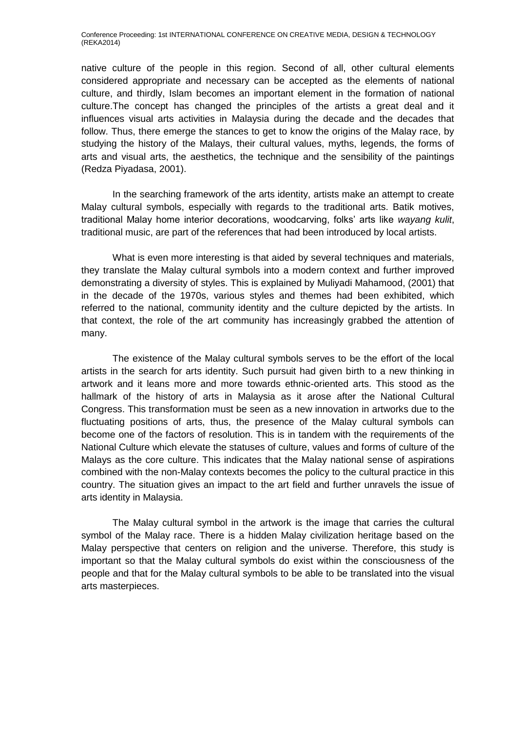native culture of the people in this region. Second of all, other cultural elements considered appropriate and necessary can be accepted as the elements of national culture, and thirdly, Islam becomes an important element in the formation of national culture.The concept has changed the principles of the artists a great deal and it influences visual arts activities in Malaysia during the decade and the decades that follow. Thus, there emerge the stances to get to know the origins of the Malay race, by studying the history of the Malays, their cultural values, myths, legends, the forms of arts and visual arts, the aesthetics, the technique and the sensibility of the paintings (Redza Piyadasa, 2001).

In the searching framework of the arts identity, artists make an attempt to create Malay cultural symbols, especially with regards to the traditional arts. Batik motives, traditional Malay home interior decorations, woodcarving, folks' arts like *wayang kulit*, traditional music, are part of the references that had been introduced by local artists.

What is even more interesting is that aided by several techniques and materials, they translate the Malay cultural symbols into a modern context and further improved demonstrating a diversity of styles. This is explained by Muliyadi Mahamood, (2001) that in the decade of the 1970s, various styles and themes had been exhibited, which referred to the national, community identity and the culture depicted by the artists. In that context, the role of the art community has increasingly grabbed the attention of many.

The existence of the Malay cultural symbols serves to be the effort of the local artists in the search for arts identity. Such pursuit had given birth to a new thinking in artwork and it leans more and more towards ethnic-oriented arts. This stood as the hallmark of the history of arts in Malaysia as it arose after the National Cultural Congress. This transformation must be seen as a new innovation in artworks due to the fluctuating positions of arts, thus, the presence of the Malay cultural symbols can become one of the factors of resolution. This is in tandem with the requirements of the National Culture which elevate the statuses of culture, values and forms of culture of the Malays as the core culture. This indicates that the Malay national sense of aspirations combined with the non-Malay contexts becomes the policy to the cultural practice in this country. The situation gives an impact to the art field and further unravels the issue of arts identity in Malaysia.

The Malay cultural symbol in the artwork is the image that carries the cultural symbol of the Malay race. There is a hidden Malay civilization heritage based on the Malay perspective that centers on religion and the universe. Therefore, this study is important so that the Malay cultural symbols do exist within the consciousness of the people and that for the Malay cultural symbols to be able to be translated into the visual arts masterpieces.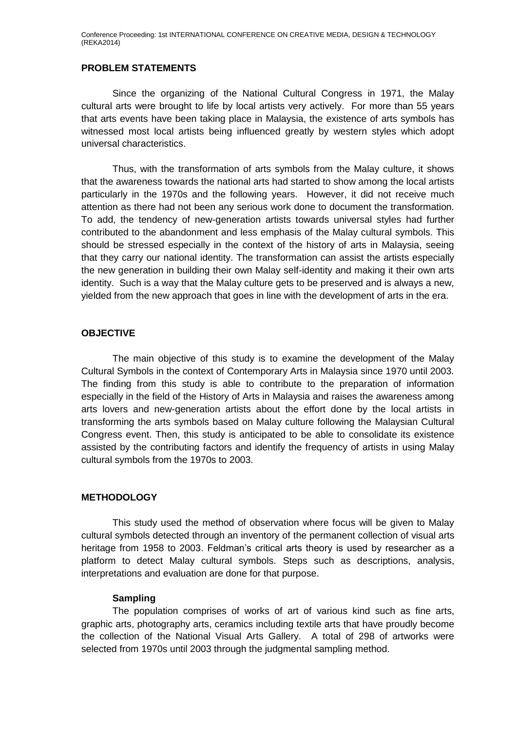#### **PROBLEM STATEMENTS**

Since the organizing of the National Cultural Congress in 1971, the Malay cultural arts were brought to life by local artists very actively. For more than 55 years that arts events have been taking place in Malaysia, the existence of arts symbols has witnessed most local artists being influenced greatly by western styles which adopt universal characteristics.

Thus, with the transformation of arts symbols from the Malay culture, it shows that the awareness towards the national arts had started to show among the local artists particularly in the 1970s and the following years. However, it did not receive much attention as there had not been any serious work done to document the transformation. To add, the tendency of new-generation artists towards universal styles had further contributed to the abandonment and less emphasis of the Malay cultural symbols. This should be stressed especially in the context of the history of arts in Malaysia, seeing that they carry our national identity. The transformation can assist the artists especially the new generation in building their own Malay self-identity and making it their own arts identity. Such is a way that the Malay culture gets to be preserved and is always a new, yielded from the new approach that goes in line with the development of arts in the era.

# **OBJECTIVE**

The main objective of this study is to examine the development of the Malay Cultural Symbols in the context of Contemporary Arts in Malaysia since 1970 until 2003. The finding from this study is able to contribute to the preparation of information especially in the field of the History of Arts in Malaysia and raises the awareness among arts lovers and new-generation artists about the effort done by the local artists in transforming the arts symbols based on Malay culture following the Malaysian Cultural Congress event. Then, this study is anticipated to be able to consolidate its existence assisted by the contributing factors and identify the frequency of artists in using Malay cultural symbols from the 1970s to 2003.

# **METHODOLOGY**

This study used the method of observation where focus will be given to Malay cultural symbols detected through an inventory of the permanent collection of visual arts heritage from 1958 to 2003. Feldman's critical arts theory is used by researcher as a platform to detect Malay cultural symbols. Steps such as descriptions, analysis, interpretations and evaluation are done for that purpose.

# **Sampling**

The population comprises of works of art of various kind such as fine arts, graphic arts, photography arts, ceramics including textile arts that have proudly become the collection of the National Visual Arts Gallery. A total of 298 of artworks were selected from 1970s until 2003 through the judgmental sampling method.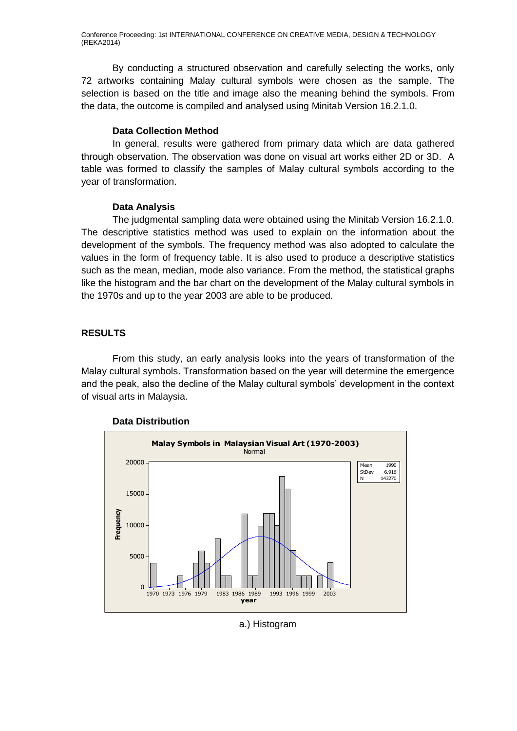Conference Proceeding: 1st INTERNATIONAL CONFERENCE ON CREATIVE MEDIA, DESIGN & TECHNOLOGY (REKA2014)

By conducting a structured observation and carefully selecting the works, only 72 artworks containing Malay cultural symbols were chosen as the sample. The selection is based on the title and image also the meaning behind the symbols. From the data, the outcome is compiled and analysed using Minitab Version 16.2.1.0.

#### **Data Collection Method**

In general, results were gathered from primary data which are data gathered through observation. The observation was done on visual art works either 2D or 3D. A table was formed to classify the samples of Malay cultural symbols according to the year of transformation.

#### **Data Analysis**

The judgmental sampling data were obtained using the Minitab Version 16.2.1.0. The descriptive statistics method was used to explain on the information about the development of the symbols. The frequency method was also adopted to calculate the values in the form of frequency table. It is also used to produce a descriptive statistics such as the mean, median, mode also variance. From the method, the statistical graphs like the histogram and the bar chart on the development of the Malay cultural symbols in the 1970s and up to the year 2003 are able to be produced.

#### **RESULTS**

From this study, an early analysis looks into the years of transformation of the Malay cultural symbols. Transformation based on the year will determine the emergence and the peak, also the decline of the Malay cultural symbols' development in the context of visual arts in Malaysia.



#### **Data Distribution**

a.) Histogram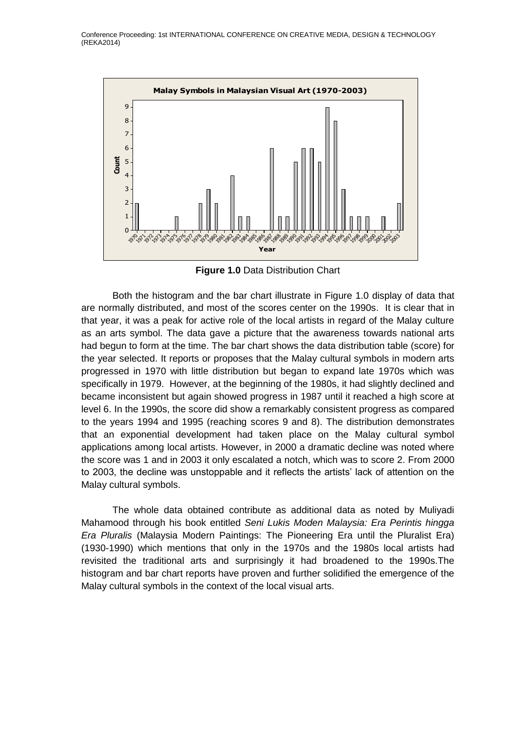

**Figure 1.0** Data Distribution Chart

Both the histogram and the bar chart illustrate in Figure 1.0 display of data that are normally distributed, and most of the scores center on the 1990s. It is clear that in that year, it was a peak for active role of the local artists in regard of the Malay culture as an arts symbol. The data gave a picture that the awareness towards national arts had begun to form at the time. The bar chart shows the data distribution table (score) for the year selected. It reports or proposes that the Malay cultural symbols in modern arts progressed in 1970 with little distribution but began to expand late 1970s which was specifically in 1979. However, at the beginning of the 1980s, it had slightly declined and became inconsistent but again showed progress in 1987 until it reached a high score at level 6. In the 1990s, the score did show a remarkably consistent progress as compared to the years 1994 and 1995 (reaching scores 9 and 8). The distribution demonstrates that an exponential development had taken place on the Malay cultural symbol applications among local artists. However, in 2000 a dramatic decline was noted where the score was 1 and in 2003 it only escalated a notch, which was to score 2. From 2000 to 2003, the decline was unstoppable and it reflects the artists' lack of attention on the Malay cultural symbols.

The whole data obtained contribute as additional data as noted by Muliyadi Mahamood through his book entitled *Seni Lukis Moden Malaysia: Era Perintis hingga Era Pluralis* (Malaysia Modern Paintings: The Pioneering Era until the Pluralist Era) (1930-1990) which mentions that only in the 1970s and the 1980s local artists had revisited the traditional arts and surprisingly it had broadened to the 1990s.The histogram and bar chart reports have proven and further solidified the emergence of the Malay cultural symbols in the context of the local visual arts.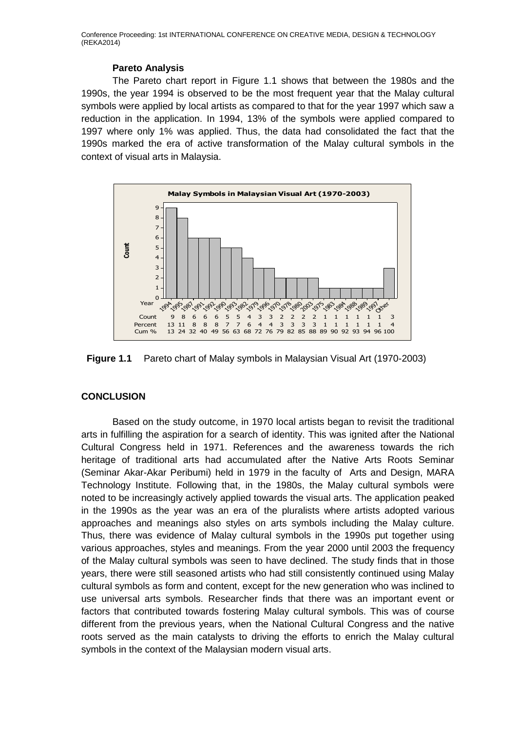Conference Proceeding: 1st INTERNATIONAL CONFERENCE ON CREATIVE MEDIA, DESIGN & TECHNOLOGY (REKA2014)

#### **Pareto Analysis**

The Pareto chart report in Figure 1.1 shows that between the 1980s and the 1990s, the year 1994 is observed to be the most frequent year that the Malay cultural symbols were applied by local artists as compared to that for the year 1997 which saw a reduction in the application. In 1994, 13% of the symbols were applied compared to 1997 where only 1% was applied. Thus, the data had consolidated the fact that the 1990s marked the era of active transformation of the Malay cultural symbols in the context of visual arts in Malaysia.



**Figure 1.1** Pareto chart of Malay symbols in Malaysian Visual Art (1970-2003)

# **CONCLUSION**

Based on the study outcome, in 1970 local artists began to revisit the traditional arts in fulfilling the aspiration for a search of identity. This was ignited after the National Cultural Congress held in 1971. References and the awareness towards the rich heritage of traditional arts had accumulated after the Native Arts Roots Seminar (Seminar Akar-Akar Peribumi) held in 1979 in the faculty of Arts and Design, MARA Technology Institute. Following that, in the 1980s, the Malay cultural symbols were noted to be increasingly actively applied towards the visual arts. The application peaked in the 1990s as the year was an era of the pluralists where artists adopted various approaches and meanings also styles on arts symbols including the Malay culture. Thus, there was evidence of Malay cultural symbols in the 1990s put together using various approaches, styles and meanings. From the year 2000 until 2003 the frequency of the Malay cultural symbols was seen to have declined. The study finds that in those years, there were still seasoned artists who had still consistently continued using Malay cultural symbols as form and content, except for the new generation who was inclined to use universal arts symbols. Researcher finds that there was an important event or factors that contributed towards fostering Malay cultural symbols. This was of course different from the previous years, when the National Cultural Congress and the native roots served as the main catalysts to driving the efforts to enrich the Malay cultural symbols in the context of the Malaysian modern visual arts.